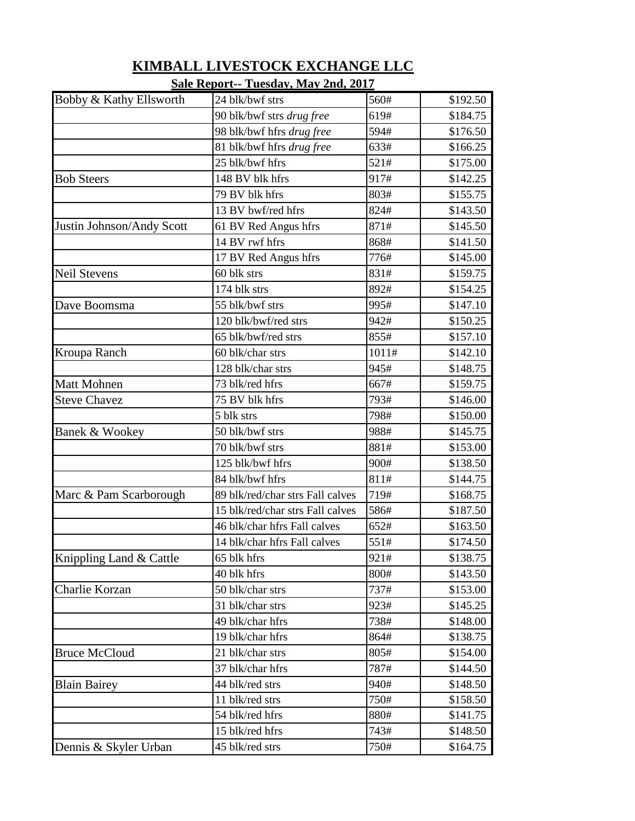|                           | <u>Saie Report-- Tuesuay, May 211u, 2017</u> |       |          |
|---------------------------|----------------------------------------------|-------|----------|
| Bobby & Kathy Ellsworth   | 24 blk/bwf strs                              | 560#  | \$192.50 |
|                           | 90 blk/bwf strs drug free                    | 619#  | \$184.75 |
|                           | 98 blk/bwf hfrs drug free                    | 594#  | \$176.50 |
|                           | 81 blk/bwf hfrs drug free                    | 633#  | \$166.25 |
|                           | 25 blk/bwf hfrs                              | 521#  | \$175.00 |
| <b>Bob Steers</b>         | 148 BV blk hfrs                              | 917#  | \$142.25 |
|                           | 79 BV blk hfrs                               | 803#  | \$155.75 |
|                           | 13 BV bwf/red hfrs                           | 824#  | \$143.50 |
| Justin Johnson/Andy Scott | 61 BV Red Angus hfrs                         | 871#  | \$145.50 |
|                           | 14 BV rwf hfrs                               | 868#  | \$141.50 |
|                           | 17 BV Red Angus hfrs                         | 776#  | \$145.00 |
| <b>Neil Stevens</b>       | 60 blk strs                                  | 831#  | \$159.75 |
|                           | 174 blk strs                                 | 892#  | \$154.25 |
| Dave Boomsma              | 55 blk/bwf strs                              | 995#  | \$147.10 |
|                           | 120 blk/bwf/red strs                         | 942#  | \$150.25 |
|                           | 65 blk/bwf/red strs                          | 855#  | \$157.10 |
| Kroupa Ranch              | 60 blk/char strs                             | 1011# | \$142.10 |
|                           | 128 blk/char strs                            | 945#  | \$148.75 |
| Matt Mohnen               | 73 blk/red hfrs                              | 667#  | \$159.75 |
| <b>Steve Chavez</b>       | 75 BV blk hfrs                               | 793#  | \$146.00 |
|                           | 5 blk strs                                   | 798#  | \$150.00 |
| <b>Banek &amp; Wookey</b> | 50 blk/bwf strs                              | 988#  | \$145.75 |
|                           | 70 blk/bwf strs                              | 881#  | \$153.00 |
|                           | 125 blk/bwf hfrs                             | 900#  | \$138.50 |
|                           | 84 blk/bwf hfrs                              | 811#  | \$144.75 |
| Marc & Pam Scarborough    | 89 blk/red/char strs Fall calves             | 719#  | \$168.75 |
|                           | 15 blk/red/char strs Fall calves             | 586#  | \$187.50 |
|                           | 46 blk/char hfrs Fall calves                 | 652#  | \$163.50 |
|                           | 14 blk/char hfrs Fall calves                 | 551#  | \$174.50 |
| Knippling Land & Cattle   | 65 blk hfrs                                  | 921#  | \$138.75 |
|                           | 40 blk hfrs                                  | 800#  | \$143.50 |
| Charlie Korzan            | 50 blk/char strs                             | 737#  | \$153.00 |
|                           | 31 blk/char strs                             | 923#  | \$145.25 |
|                           | 49 blk/char hfrs                             | 738#  | \$148.00 |
|                           | 19 blk/char hfrs                             | 864#  | \$138.75 |
| <b>Bruce McCloud</b>      | 21 blk/char strs                             | 805#  | \$154.00 |
|                           | 37 blk/char hfrs                             | 787#  | \$144.50 |
| <b>Blain Bairey</b>       | 44 blk/red strs                              | 940#  | \$148.50 |
|                           | 11 blk/red strs                              | 750#  | \$158.50 |
|                           | 54 blk/red hfrs                              | 880#  | \$141.75 |
|                           | 15 blk/red hfrs                              | 743#  | \$148.50 |
| Dennis & Skyler Urban     | 45 blk/red strs                              | 750#  | \$164.75 |
|                           |                                              |       |          |

## **KIMBALL LIVESTOCK EXCHANGE LLC**

## **Sale Report-- Tuesday, May 2nd, 2017**